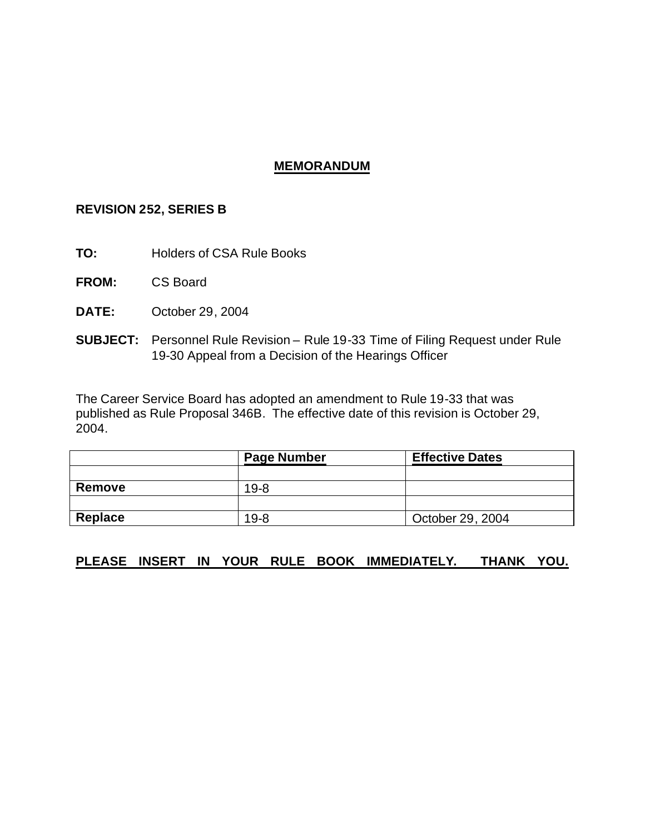## **MEMORANDUM**

### **REVISION 252, SERIES B**

- **TO:** Holders of CSA Rule Books
- **FROM:** CS Board
- **DATE:** October 29, 2004
- **SUBJECT:** Personnel Rule Revision Rule 19-33 Time of Filing Request under Rule 19-30 Appeal from a Decision of the Hearings Officer

The Career Service Board has adopted an amendment to Rule 19-33 that was published as Rule Proposal 346B. The effective date of this revision is October 29, 2004.

|         | <b>Page Number</b> | <b>Effective Dates</b> |
|---------|--------------------|------------------------|
|         |                    |                        |
| Remove  | $19 - 8$           |                        |
|         |                    |                        |
| Replace | $19 - 8$           | October 29, 2004       |

# **PLEASE INSERT IN YOUR RULE BOOK IMMEDIATELY. THANK YOU.**